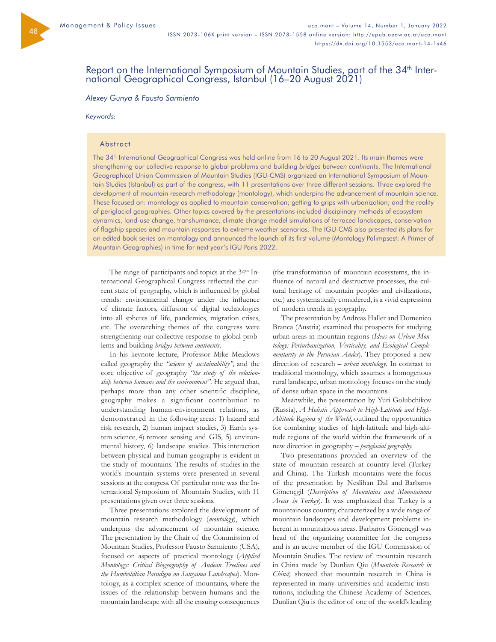46

# Report on the International Symposium of Mountain Studies, part of the 34<sup>th</sup> Inter-<br>national Geographical Congress, Istanbul (16–20 August 2021)

## *Alexey Gunya & Fausto Sarmiento*

#### *Keywords:*

## **Abstract**

The 34<sup>th</sup> International Geographical Congress was held online from 16 to 20 August 2021. Its main themes were strengthening our collective response to global problems and building *bridges between continents*. The International Geographical Union Commission of Mountain Studies (IGU-CMS) organized an International Symposium of Mountain Studies (Istanbul) as part of the congress, with 11 presentations over three different sessions. Three explored the development of mountain research methodology (montology), which underpins the advancement of mountain science. These focused on: montology as applied to mountain conservation; getting to grips with urbanization; and the reality of periglacial geographies. Other topics covered by the presentations included disciplinary methods of ecosystem dynamics, land-use change, transhumance, climate change model simulations of terraced landscapes, conservation of flagship species and mountain responses to extreme weather scenarios. The IGU-CMS also presented its plans for an edited book series on montology and announced the launch of its first volume (Montology Palimpsest: A Primer of Mountain Geographies) in time for next year's IGU Paris 2022.

The range of participants and topics at the 34<sup>th</sup> International Geographical Congress refected the current state of geography, which is infuenced by global trends: environmental change under the infuence of climate factors, diffusion of digital technologies into all spheres of life, pandemics, migration crises, etc. The overarching themes of the congress were strengthening our collective response to global problems and building *bridges between continents*.

In his keynote lecture, Professor Mike Meadows called geography the *"science of sustainability"*, and the core objective of geography *"the study of the relationship between humans and the environment"*. He argued that, perhaps more than any other scientifc discipline, geography makes a significant contribution to understanding human-environment relations, as demonstrated in the following areas: 1) hazard and risk research, 2) human impact studies, 3) Earth system science, 4) remote sensing and GIS, 5) environmental history, 6) landscape studies. This interaction between physical and human geography is evident in the study of mountains. The results of studies in the world's mountain systems were presented in several sessions at the congress. Of particular note was the International Symposium of Mountain Studies, with 11 presentations given over three sessions.

Three presentations explored the development of mountain research methodology (*montology*), which underpins the advancement of mountain science. The presentation by the Chair of the Commission of Mountain Studies, Professor Fausto Sarmiento (USA), focused on aspects of practical montology (*Applied Montology: Critical Biogeography of Andean Treelines and the Humboldtian Paradigm on Satoyama Landscapes*). Montology, as a complex science of mountains, where the issues of the relationship between humans and the mountain landscape with all the ensuing consequences

(the transformation of mountain ecosystems, the infuence of natural and destructive processes, the cultural heritage of mountain peoples and civilizations, etc.) are systematically considered, is a vivid expression of modern trends in geography.

The presentation by Andreas Haller and Domenico Branca (Austria) examined the prospects for studying urban areas in mountain regions (*Ideas on Urban Montology: Periurbanization, Verticality, and Ecological Complementarity in the Peruvian Andes*). They proposed a new direction of research – *urban montology*. In contrast to traditional montology, which assumes a homogenous rural landscape, urban montology focuses on the study of dense urban space in the mountains.

Meanwhile, the presentation by Yuri Golubchikov (Russia), *A Holistic Approach to High-Latitude and High-Altitude Regions of the World*, outlined the opportunities for combining studies of high-latitude and high-altitude regions of the world within the framework of a new direction in geography – *periglacial geography.*

Two presentations provided an overview of the state of mountain research at country level (Turkey and China). The Turkish mountains were the focus of the presentation by Neslihan Dal and Barbaros Gönençgil (*Description of Mountains and Mountainous Areas in Turkey*). It was emphasized that Turkey is a mountainous country, characterized by a wide range of mountain landscapes and development problems inherent in mountainous areas. Barbaros Gönençgil was head of the organizing committee for the congress and is an active member of the IGU Commission of Mountain Studies. The review of mountain research in China made by Dunlian Qiu (*Mountain Research in China*) showed that mountain research in China is represented in many universities and academic institutions, including the Chinese Academy of Sciences. Dunlian Qiu is the editor of one of the world's leading